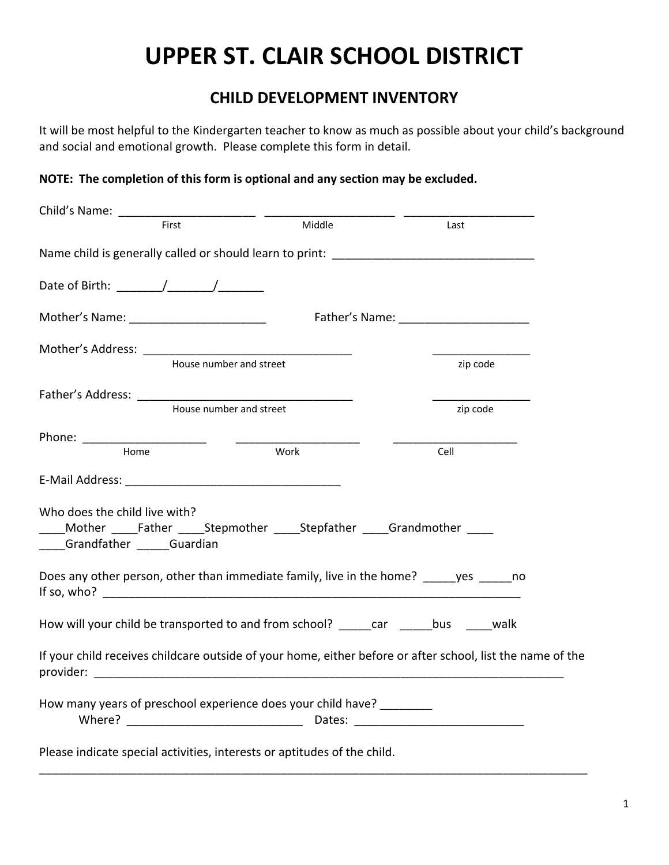## **UPPER ST. CLAIR SCHOOL DISTRICT**

## **CHILD DEVELOPMENT INVENTORY**

It will be most helpful to the Kindergarten teacher to know as much as possible about your child's background and social and emotional growth. Please complete this form in detail.

## **NOTE: The completion of this form is optional and any section may be excluded.**

| Child's Name: The Child's Name:                                                                          |                         |                                                                                                            |  |  |  |
|----------------------------------------------------------------------------------------------------------|-------------------------|------------------------------------------------------------------------------------------------------------|--|--|--|
| First                                                                                                    | Middle                  | Last                                                                                                       |  |  |  |
| Name child is generally called or should learn to print: ________________________                        |                         |                                                                                                            |  |  |  |
| Date of Birth: $\frac{1}{\sqrt{1-\frac{1}{2}}}\left  \frac{1}{\sqrt{1-\frac{1}{2}}}\right $              |                         |                                                                                                            |  |  |  |
| Mother's Name: _________________________                                                                 |                         |                                                                                                            |  |  |  |
|                                                                                                          | House number and street | zip code                                                                                                   |  |  |  |
|                                                                                                          |                         |                                                                                                            |  |  |  |
|                                                                                                          | House number and street | zip code                                                                                                   |  |  |  |
|                                                                                                          |                         |                                                                                                            |  |  |  |
| Home                                                                                                     | Work                    | Cell                                                                                                       |  |  |  |
|                                                                                                          |                         |                                                                                                            |  |  |  |
| Who does the child live with?<br>Mother Father Stepmother Stepfather Grandmother<br>Grandfather Guardian |                         |                                                                                                            |  |  |  |
| Does any other person, other than immediate family, live in the home? yes ho                             |                         |                                                                                                            |  |  |  |
| How will your child be transported to and from school? _____car _____bus _____walk                       |                         |                                                                                                            |  |  |  |
|                                                                                                          |                         | If your child receives childcare outside of your home, either before or after school, list the name of the |  |  |  |
| How many years of preschool experience does your child have?                                             |                         |                                                                                                            |  |  |  |
| Please indicate special activities, interests or aptitudes of the child.                                 |                         |                                                                                                            |  |  |  |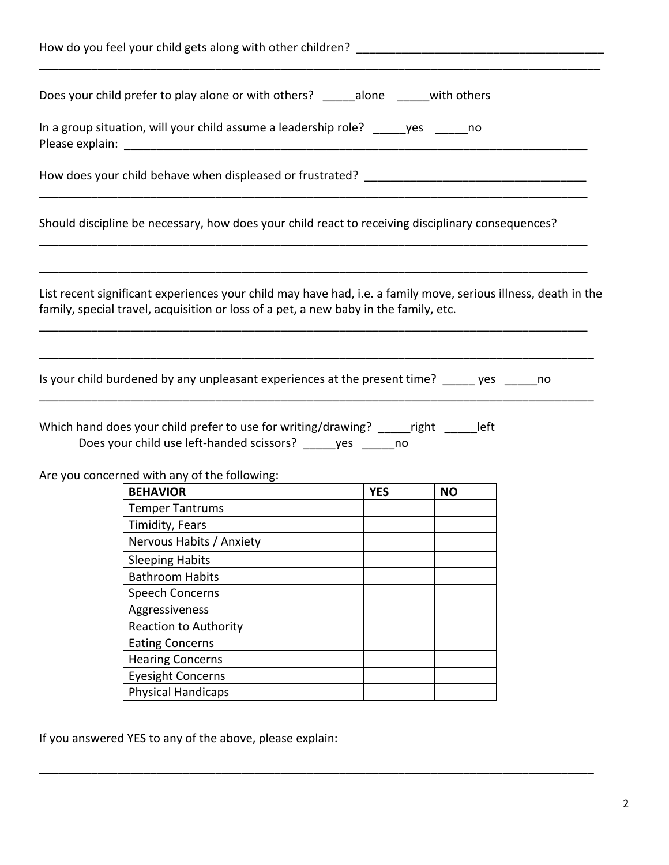| How do you feel your child gets along with other children?                                                                                                                                             |            |           |  |  |
|--------------------------------------------------------------------------------------------------------------------------------------------------------------------------------------------------------|------------|-----------|--|--|
| Does your child prefer to play alone or with others? _______ alone _______ with others                                                                                                                 |            |           |  |  |
| In a group situation, will your child assume a leadership role? yes ho                                                                                                                                 |            |           |  |  |
|                                                                                                                                                                                                        |            |           |  |  |
| Should discipline be necessary, how does your child react to receiving disciplinary consequences?                                                                                                      |            |           |  |  |
| List recent significant experiences your child may have had, i.e. a family move, serious illness, death in the<br>family, special travel, acquisition or loss of a pet, a new baby in the family, etc. |            |           |  |  |
| Is your child burdened by any unpleasant experiences at the present time? _____ yes _____ no                                                                                                           |            |           |  |  |
|                                                                                                                                                                                                        |            |           |  |  |
| Which hand does your child prefer to use for writing/drawing? ______right ______left<br>Does your child use left-handed scissors? ______ yes ______ no                                                 |            |           |  |  |
|                                                                                                                                                                                                        |            |           |  |  |
| Are you concerned with any of the following:<br><b>BEHAVIOR</b>                                                                                                                                        | <b>YES</b> | <b>NO</b> |  |  |
| <b>Temper Tantrums</b>                                                                                                                                                                                 |            |           |  |  |
| Timidity, Fears                                                                                                                                                                                        |            |           |  |  |
| Nervous Habits / Anxiety                                                                                                                                                                               |            |           |  |  |
|                                                                                                                                                                                                        |            |           |  |  |
| <b>Sleeping Habits</b><br><b>Bathroom Habits</b>                                                                                                                                                       |            |           |  |  |
|                                                                                                                                                                                                        |            |           |  |  |
| <b>Speech Concerns</b>                                                                                                                                                                                 |            |           |  |  |
| Aggressiveness                                                                                                                                                                                         |            |           |  |  |
| Reaction to Authority                                                                                                                                                                                  |            |           |  |  |
| <b>Eating Concerns</b>                                                                                                                                                                                 |            |           |  |  |
| <b>Hearing Concerns</b><br><b>Eyesight Concerns</b>                                                                                                                                                    |            |           |  |  |

\_\_\_\_\_\_\_\_\_\_\_\_\_\_\_\_\_\_\_\_\_\_\_\_\_\_\_\_\_\_\_\_\_\_\_\_\_\_\_\_\_\_\_\_\_\_\_\_\_\_\_\_\_\_\_\_\_\_\_\_\_\_\_\_\_\_\_\_\_\_\_\_\_\_\_\_\_\_\_\_\_\_\_\_\_

If you answered YES to any of the above, please explain: